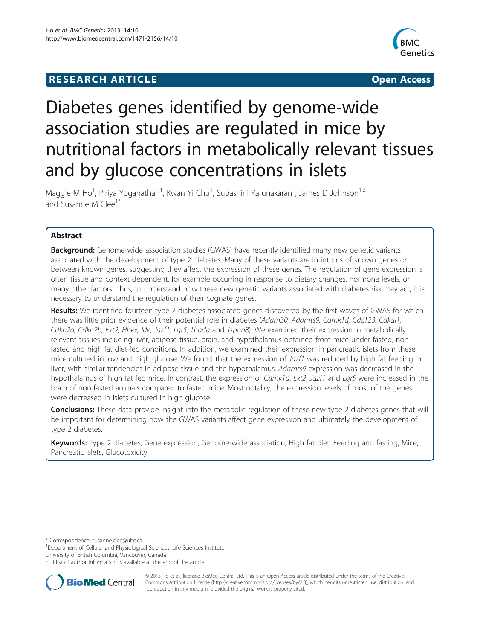# **RESEARCH ARTICLE CONSUMING A RESEARCH ARTICLE**



# Diabetes genes identified by genome-wide association studies are regulated in mice by nutritional factors in metabolically relevant tissues and by glucose concentrations in islets

Maggie M Ho<sup>1</sup>, Piriya Yoganathan<sup>1</sup>, Kwan Yi Chu<sup>1</sup>, Subashini Karunakaran<sup>1</sup>, James D Johnson<sup>1,2</sup> and Susanne M Clee<sup>1\*</sup>

# Abstract

**Background:** Genome-wide association studies (GWAS) have recently identified many new genetic variants associated with the development of type 2 diabetes. Many of these variants are in introns of known genes or between known genes, suggesting they affect the expression of these genes. The regulation of gene expression is often tissue and context dependent, for example occurring in response to dietary changes, hormone levels, or many other factors. Thus, to understand how these new genetic variants associated with diabetes risk may act, it is necessary to understand the regulation of their cognate genes.

Results: We identified fourteen type 2 diabetes-associated genes discovered by the first waves of GWAS for which there was little prior evidence of their potential role in diabetes (Adam30, Adamts9, Camk1d, Cdc123, Cdkal1, Cdkn2a, Cdkn2b, Ext2, Hhex, Ide, Jazf1, Lgr5, Thada and Tspan8). We examined their expression in metabolically relevant tissues including liver, adipose tissue, brain, and hypothalamus obtained from mice under fasted, nonfasted and high fat diet-fed conditions. In addition, we examined their expression in pancreatic islets from these mice cultured in low and high glucose. We found that the expression of Jazf1 was reduced by high fat feeding in liver, with similar tendencies in adipose tissue and the hypothalamus. Adamts9 expression was decreased in the hypothalamus of high fat fed mice. In contrast, the expression of Camk1d, Ext2, Jazf1 and Lgr5 were increased in the brain of non-fasted animals compared to fasted mice. Most notably, the expression levels of most of the genes were decreased in islets cultured in high glucose.

Conclusions: These data provide insight into the metabolic regulation of these new type 2 diabetes genes that will be important for determining how the GWAS variants affect gene expression and ultimately the development of type 2 diabetes.

Keywords: Type 2 diabetes, Gene expression, Genome-wide association, High fat diet, Feeding and fasting, Mice, Pancreatic islets, Glucotoxicity

\* Correspondence: [susanne.clee@ubc.ca](mailto:susanne.clee@ubc.ca) <sup>1</sup>

<sup>1</sup>Department of Cellular and Physiological Sciences, Life Sciences Institute, University of British Columbia, Vancouver, Canada

Full list of author information is available at the end of the article



© 2013 Ho et al.; licensee BioMed Central Ltd. This is an Open Access article distributed under the terms of the Creative Commons Attribution License [\(http://creativecommons.org/licenses/by/2.0\)](http://creativecommons.org/licenses/by/2.0), which permits unrestricted use, distribution, and reproduction in any medium, provided the original work is properly cited.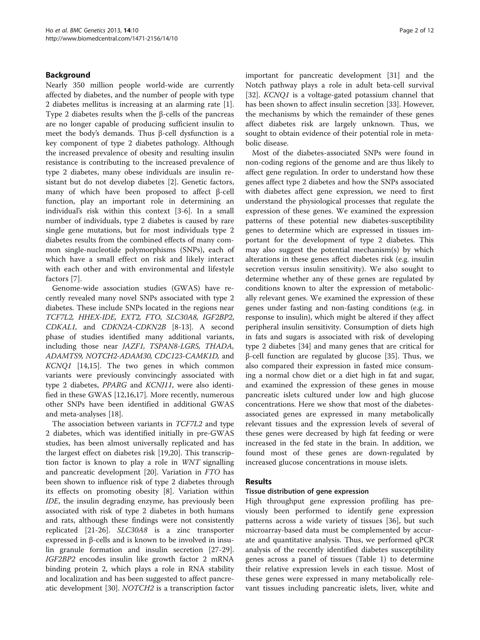# Background

Nearly 350 million people world-wide are currently affected by diabetes, and the number of people with type 2 diabetes mellitus is increasing at an alarming rate [\[1](#page-9-0)]. Type 2 diabetes results when the β-cells of the pancreas are no longer capable of producing sufficient insulin to meet the body's demands. Thus β-cell dysfunction is a key component of type 2 diabetes pathology. Although the increased prevalence of obesity and resulting insulin resistance is contributing to the increased prevalence of type 2 diabetes, many obese individuals are insulin resistant but do not develop diabetes [\[2](#page-9-0)]. Genetic factors, many of which have been proposed to affect β-cell function, play an important role in determining an individual's risk within this context [[3-6](#page-9-0)]. In a small number of individuals, type 2 diabetes is caused by rare single gene mutations, but for most individuals type 2 diabetes results from the combined effects of many common single-nucleotide polymorphisms (SNPs), each of which have a small effect on risk and likely interact with each other and with environmental and lifestyle factors [[7](#page-9-0)].

Genome-wide association studies (GWAS) have recently revealed many novel SNPs associated with type 2 diabetes. These include SNPs located in the regions near TCF7L2, HHEX-IDE, EXT2, FTO, SLC30A8, IGF2BP2, CDKAL1, and CDKN2A-CDKN2B [[8-13\]](#page-9-0). A second phase of studies identified many additional variants, including those near JAZF1, TSPAN8-LGR5, THADA, ADAMTS9, NOTCH2-ADAM30, CDC123-CAMK1D, and KCNQ1 [[14,15\]](#page-9-0). The two genes in which common variants were previously convincingly associated with type 2 diabetes, PPARG and KCNJ11, were also identified in these GWAS [[12](#page-9-0),[16](#page-9-0),[17](#page-9-0)]. More recently, numerous other SNPs have been identified in additional GWAS and meta-analyses [[18](#page-9-0)].

The association between variants in TCF7L2 and type 2 diabetes, which was identified initially in pre-GWAS studies, has been almost universally replicated and has the largest effect on diabetes risk [\[19,20\]](#page-9-0). This transcription factor is known to play a role in WNT signalling and pancreatic development [[20](#page-9-0)]. Variation in FTO has been shown to influence risk of type 2 diabetes through its effects on promoting obesity [[8\]](#page-9-0). Variation within IDE, the insulin degrading enzyme, has previously been associated with risk of type 2 diabetes in both humans and rats, although these findings were not consistently replicated [\[21](#page-9-0)-[26\]](#page-10-0). SLC30A8 is a zinc transporter expressed in β-cells and is known to be involved in insulin granule formation and insulin secretion [\[27-29](#page-10-0)]. IGF2BP2 encodes insulin like growth factor 2 mRNA binding protein 2, which plays a role in RNA stability and localization and has been suggested to affect pancreatic development [\[30](#page-10-0)]. NOTCH2 is a transcription factor important for pancreatic development [\[31](#page-10-0)] and the Notch pathway plays a role in adult beta-cell survival [[32\]](#page-10-0). KCNQ1 is a voltage-gated potassium channel that has been shown to affect insulin secretion [[33](#page-10-0)]. However, the mechanisms by which the remainder of these genes affect diabetes risk are largely unknown. Thus, we sought to obtain evidence of their potential role in metabolic disease.

Most of the diabetes-associated SNPs were found in non-coding regions of the genome and are thus likely to affect gene regulation. In order to understand how these genes affect type 2 diabetes and how the SNPs associated with diabetes affect gene expression, we need to first understand the physiological processes that regulate the expression of these genes. We examined the expression patterns of these potential new diabetes-susceptibility genes to determine which are expressed in tissues important for the development of type 2 diabetes. This may also suggest the potential mechanism(s) by which alterations in these genes affect diabetes risk (e.g. insulin secretion versus insulin sensitivity). We also sought to determine whether any of these genes are regulated by conditions known to alter the expression of metabolically relevant genes. We examined the expression of these genes under fasting and non-fasting conditions (e.g. in response to insulin), which might be altered if they affect peripheral insulin sensitivity. Consumption of diets high in fats and sugars is associated with risk of developing type 2 diabetes [\[34](#page-10-0)] and many genes that are critical for β-cell function are regulated by glucose [\[35](#page-10-0)]. Thus, we also compared their expression in fasted mice consuming a normal chow diet or a diet high in fat and sugar, and examined the expression of these genes in mouse pancreatic islets cultured under low and high glucose concentrations. Here we show that most of the diabetesassociated genes are expressed in many metabolically relevant tissues and the expression levels of several of these genes were decreased by high fat feeding or were increased in the fed state in the brain. In addition, we found most of these genes are down-regulated by increased glucose concentrations in mouse islets.

## Results

#### Tissue distribution of gene expression

High throughput gene expression profiling has previously been performed to identify gene expression patterns across a wide variety of tissues [\[36](#page-10-0)], but such microarray-based data must be complemented by accurate and quantitative analysis. Thus, we performed qPCR analysis of the recently identified diabetes susceptibility genes across a panel of tissues (Table [1](#page-2-0)) to determine their relative expression levels in each tissue. Most of these genes were expressed in many metabolically relevant tissues including pancreatic islets, liver, white and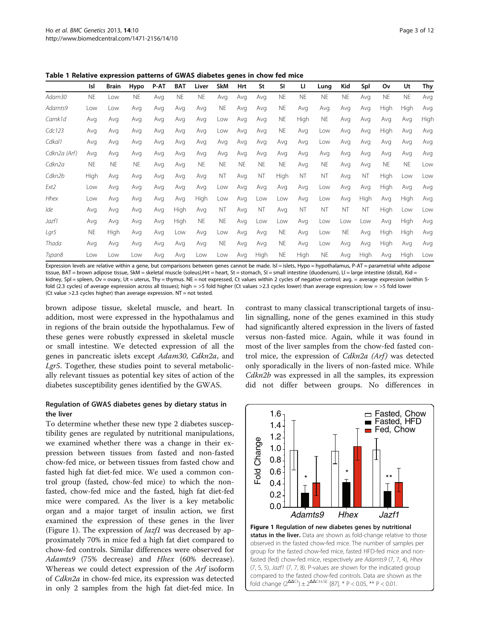|              | Isl       | <b>Brain</b> | Hypo      | P-AT | <b>BAT</b> | Liver     | <b>SkM</b> | Hrt       | St        | <b>SI</b> | п         | Lung      | Kid       | Spl       | Οv        | Ut        | Thy  |
|--------------|-----------|--------------|-----------|------|------------|-----------|------------|-----------|-----------|-----------|-----------|-----------|-----------|-----------|-----------|-----------|------|
| Adam30       | <b>NE</b> | Low          | <b>NE</b> | Avg  | <b>NE</b>  | <b>NE</b> | Avg        | Avg       | Avg       | <b>NE</b> | <b>NE</b> | <b>NE</b> | <b>NE</b> | Avg       | <b>NE</b> | <b>NE</b> | Avg  |
| Adamts9      | Low       | Low          | Avg       | Avg  | Avg        | Avg       | <b>NE</b>  | Avg       | Avg       | <b>NE</b> | Avg       | Avg       | Avg       | Avg       | High      | High      | Avg  |
| Camk1d       | Avg       | Avg          | Avg       | Avg  | Avg        | Avg       | Low        | Avg       | Avg       | <b>NE</b> | High      | <b>NE</b> | Avg       | Avg       | Avg       | Avg       | High |
| Cdc123       | Avg       | Avg          | Avg       | Avg  | Avg        | Avg       | Low        | Avg       | Avg       | <b>NE</b> | Avg       | Low       | Avg       | Avg       | High      | Avg       | Avg  |
| Cdkal1       | Avg       | Avg          | Avg       | Avg  | Avg        | Avg       | Avg        | Avg       | Avg       | Avg       | Avg       | Low       | Avg       | Avg       | Avg       | Avg       | Avg  |
| Cdkn2a (Arf) | Avg       | Avg          | Avg       | Avg  | Avg        | Avg       | Avg        | Avg       | Avg       | Avg       | Avg       | Avg       | Avg       | Avg       | Avg       | Avg       | Avg  |
| Cdkn2a       | <b>NE</b> | <b>NE</b>    | <b>NE</b> | Avg  | Avg        | <b>NE</b> | <b>NE</b>  | <b>NE</b> | <b>NE</b> | <b>NE</b> | Avg       | <b>NE</b> | Avg       | Avg       | <b>NE</b> | <b>NE</b> | Low  |
| Cdkn2b       | High      | Avg          | Avg       | Avg  | Avg        | Avg       | <b>NT</b>  | Avg       | <b>NT</b> | High      | <b>NT</b> | <b>NT</b> | Avg       | <b>NT</b> | High      | Low       | Low  |
| Ext2         | Low       | Avg          | Avg       | Avg  | Avg        | Avg       | Low        | Avg       | Avg       | Avg       | Avg       | Low       | Avg       | Avg       | High      | Avg       | Avg  |
| Hhex         | Low       | Avg          | Avg       | Avg  | Avg        | High      | Low        | Avg       | Low       | Low       | Avg       | Low       | Avg       | High      | Avg       | High      | Avg  |
| Ide          | Avg       | Avg          | Avg       | Ava  | High       | Avg       | <b>NT</b>  | Avg       | <b>NT</b> | Avg       | <b>NT</b> | <b>NT</b> | <b>NT</b> | <b>NT</b> | High      | Low       | Low  |
| Jazf1        | Avg       | Avg          | Avg       | Avg  | High       | <b>NE</b> | <b>NE</b>  | Avg       | Low       | Low       | Avg       | Low       | Low       | Low       | Avg       | High      | Avg  |
| Lar5         | <b>NE</b> | High         | Avg       | Avg  | Low        | Avg       | Low        | Avg       | Avg       | <b>NE</b> | Avg       | Low       | <b>NE</b> | Avg       | High      | High      | Avg  |
| Thada        | Avg       | Avg          | Avg       | Avg  | Avg        | Avg       | <b>NE</b>  | Avg       | Avg       | <b>NE</b> | Avg       | Low       | Avg       | Avg       | High      | Avg       | Avg  |
| Tspan8       | l ow      | l ow         | l ow      | Ava  | Avg        | Low       | Low        | Avg       | High      | <b>NE</b> | High      | <b>NE</b> | Avg       | High      | Avg       | High      | Low  |

<span id="page-2-0"></span>Table 1 Relative expression patterns of GWAS diabetes genes in chow fed mice

Expression levels are relative within a gene, but comparisons between genes cannot be made. Isl = islets, Hypo = hypothalamus, P-AT = parametrial white adipose tissue, BAT = brown adipose tissue, SkM = skeletal muscle (soleus),Hrt = heart, St = stomach, SI = small intestine (duodenum), LI = large intestine (distal), Kid = kidney, Spl = spleen, Ov = ovary, Ut = uterus, Thy = thymus. NE = not expressed, Ct values within 2 cycles of negative control; avg. = average expression (within 5fold (2.3 cycles) of average expression across all tissues); high = >5 fold higher (Ct values >2.3 cycles lower) than average expression; low = >5 fold lower (Ct value >2.3 cycles higher) than average expression. NT = not tested.

brown adipose tissue, skeletal muscle, and heart. In addition, most were expressed in the hypothalamus and in regions of the brain outside the hypothalamus. Few of these genes were robustly expressed in skeletal muscle or small intestine. We detected expression of all the genes in pancreatic islets except Adam30, Cdkn2a, and Lgr5. Together, these studies point to several metabolically relevant tissues as potential key sites of action of the diabetes susceptibility genes identified by the GWAS.

# Regulation of GWAS diabetes genes by dietary status in the liver

To determine whether these new type 2 diabetes susceptibility genes are regulated by nutritional manipulations, we examined whether there was a change in their expression between tissues from fasted and non-fasted chow-fed mice, or between tissues from fasted chow and fasted high fat diet-fed mice. We used a common control group (fasted, chow-fed mice) to which the nonfasted, chow-fed mice and the fasted, high fat diet-fed mice were compared. As the liver is a key metabolic organ and a major target of insulin action, we first examined the expression of these genes in the liver (Figure 1). The expression of *Jazf1* was decreased by approximately 70% in mice fed a high fat diet compared to chow-fed controls. Similar differences were observed for Adamts9 (75% decrease) and Hhex (60% decrease). Whereas we could detect expression of the Arf isoform of Cdkn2a in chow-fed mice, its expression was detected in only 2 samples from the high fat diet-fed mice. In

contrast to many classical transcriptional targets of insulin signalling, none of the genes examined in this study had significantly altered expression in the livers of fasted versus non-fasted mice. Again, while it was found in most of the liver samples from the chow-fed fasted control mice, the expression of *Cdkn2a (Arf)* was detected only sporadically in the livers of non-fasted mice. While Cdkn2b was expressed in all the samples, its expression did not differ between groups. No differences in

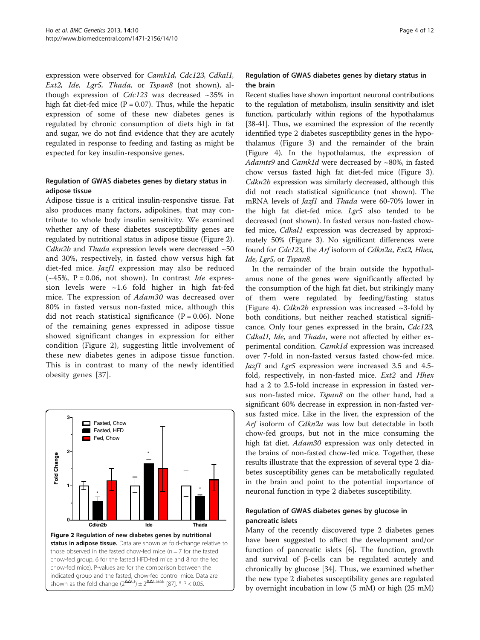expression were observed for Camk1d, Cdc123, Cdkal1, Ext2, Ide, Lgr5, Thada, or Tspan8 (not shown), although expression of  $Cdc123$  was decreased  $\sim$ 35% in high fat diet-fed mice ( $P = 0.07$ ). Thus, while the hepatic expression of some of these new diabetes genes is regulated by chronic consumption of diets high in fat and sugar, we do not find evidence that they are acutely regulated in response to feeding and fasting as might be expected for key insulin-responsive genes.

#### Regulation of GWAS diabetes genes by dietary status in adipose tissue

Adipose tissue is a critical insulin-responsive tissue. Fat also produces many factors, adipokines, that may contribute to whole body insulin sensitivity. We examined whether any of these diabetes susceptibility genes are regulated by nutritional status in adipose tissue (Figure 2). Cdkn2b and Thada expression levels were decreased  $~50$ and 30%, respectively, in fasted chow versus high fat diet-fed mice. *Jazf1* expression may also be reduced  $(-45\%, P = 0.06, not shown)$ . In contrast *Ide* expression levels were  $\sim$ 1.6 fold higher in high fat-fed mice. The expression of Adam30 was decreased over 80% in fasted versus non-fasted mice, although this did not reach statistical significance ( $P = 0.06$ ). None of the remaining genes expressed in adipose tissue showed significant changes in expression for either condition (Figure 2), suggesting little involvement of these new diabetes genes in adipose tissue function. This is in contrast to many of the newly identified obesity genes [[37](#page-10-0)].



## Regulation of GWAS diabetes genes by dietary status in the brain

Recent studies have shown important neuronal contributions to the regulation of metabolism, insulin sensitivity and islet function, particularly within regions of the hypothalamus [[38-41](#page-10-0)]. Thus, we examined the expression of the recently identified type 2 diabetes susceptibility genes in the hypothalamus (Figure [3](#page-4-0)) and the remainder of the brain (Figure [4](#page-4-0)). In the hypothalamus, the expression of Adamts9 and Camk1d were decreased by  $\sim$ 80%, in fasted chow versus fasted high fat diet-fed mice (Figure [3](#page-4-0)). Cdkn2b expression was similarly decreased, although this did not reach statistical significance (not shown). The mRNA levels of Jazf1 and Thada were 60-70% lower in the high fat diet-fed mice. Lgr5 also tended to be decreased (not shown). In fasted versus non-fasted chowfed mice, Cdkal1 expression was decreased by approximately 50% (Figure [3\)](#page-4-0). No significant differences were found for Cdc123, the Arf isoform of Cdkn2a, Ext2, Hhex, Ide, Lgr5, or Tspan8.

In the remainder of the brain outside the hypothalamus none of the genes were significantly affected by the consumption of the high fat diet, but strikingly many of them were regulated by feeding/fasting status (Figure [4](#page-4-0)). *Cdkn2b* expression was increased  $\sim$ 3-fold by both conditions, but neither reached statistical significance. Only four genes expressed in the brain, Cdc123, Cdkal1, Ide, and Thada, were not affected by either experimental condition. Camk1d expression was increased over 7-fold in non-fasted versus fasted chow-fed mice. Jazf1 and Lgr5 expression were increased 3.5 and 4.5 fold, respectively, in non-fasted mice. Ext2 and Hhex had a 2 to 2.5-fold increase in expression in fasted versus non-fasted mice. Tspan8 on the other hand, had a significant 60% decrease in expression in non-fasted versus fasted mice. Like in the liver, the expression of the Arf isoform of Cdkn2a was low but detectable in both chow-fed groups, but not in the mice consuming the high fat diet. Adam30 expression was only detected in the brains of non-fasted chow-fed mice. Together, these results illustrate that the expression of several type 2 diabetes susceptibility genes can be metabolically regulated in the brain and point to the potential importance of neuronal function in type 2 diabetes susceptibility.

# Regulation of GWAS diabetes genes by glucose in pancreatic islets

Many of the recently discovered type 2 diabetes genes have been suggested to affect the development and/or function of pancreatic islets [\[6](#page-9-0)]. The function, growth and survival of β-cells can be regulated acutely and chronically by glucose [[34\]](#page-10-0). Thus, we examined whether the new type 2 diabetes susceptibility genes are regulated by overnight incubation in low (5 mM) or high (25 mM)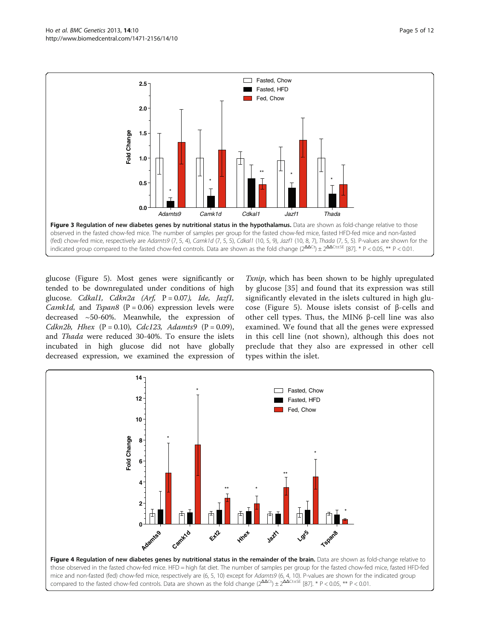<span id="page-4-0"></span>

glucose (Figure [5](#page-5-0)). Most genes were significantly or tended to be downregulated under conditions of high glucose. Cdkal1, Cdkn2a (Arf,  $P = 0.07$ ), Ide, Jazf1, Camk1d, and Tspan8 ( $P = 0.06$ ) expression levels were decreased ~50-60%. Meanwhile, the expression of Cdkn2b, Hhex  $(P = 0.10)$ , Cdc123, Adamts9  $(P = 0.09)$ , and Thada were reduced 30-40%. To ensure the islets incubated in high glucose did not have globally decreased expression, we examined the expression of Txnip, which has been shown to be highly upregulated by glucose [[35\]](#page-10-0) and found that its expression was still significantly elevated in the islets cultured in high glucose (Figure [5](#page-5-0)). Mouse islets consist of β-cells and other cell types. Thus, the MIN6 β-cell line was also examined. We found that all the genes were expressed in this cell line (not shown), although this does not preclude that they also are expressed in other cell types within the islet.

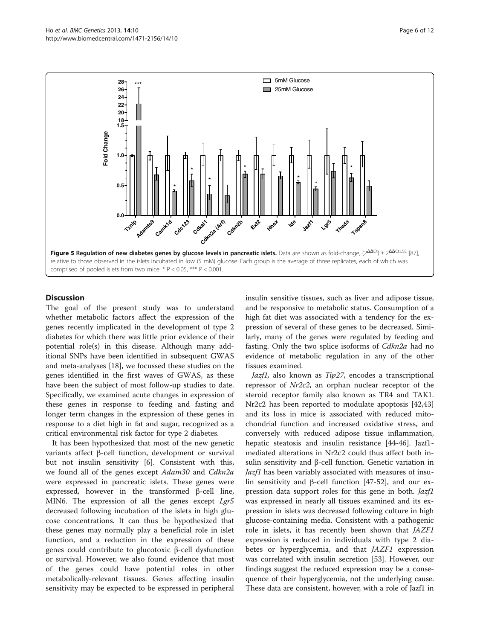<span id="page-5-0"></span>

### **Discussion**

The goal of the present study was to understand whether metabolic factors affect the expression of the genes recently implicated in the development of type 2 diabetes for which there was little prior evidence of their potential role(s) in this disease. Although many additional SNPs have been identified in subsequent GWAS and meta-analyses [[18\]](#page-9-0), we focussed these studies on the genes identified in the first waves of GWAS, as these have been the subject of most follow-up studies to date. Specifically, we examined acute changes in expression of these genes in response to feeding and fasting and longer term changes in the expression of these genes in response to a diet high in fat and sugar, recognized as a critical environmental risk factor for type 2 diabetes.

It has been hypothesized that most of the new genetic variants affect β-cell function, development or survival but not insulin sensitivity [[6\]](#page-9-0). Consistent with this, we found all of the genes except Adam30 and Cdkn2a were expressed in pancreatic islets. These genes were expressed, however in the transformed β-cell line, MIN6. The expression of all the genes except Lgr5 decreased following incubation of the islets in high glucose concentrations. It can thus be hypothesized that these genes may normally play a beneficial role in islet function, and a reduction in the expression of these genes could contribute to glucotoxic β-cell dysfunction or survival. However, we also found evidence that most of the genes could have potential roles in other metabolically-relevant tissues. Genes affecting insulin sensitivity may be expected to be expressed in peripheral insulin sensitive tissues, such as liver and adipose tissue, and be responsive to metabolic status. Consumption of a high fat diet was associated with a tendency for the expression of several of these genes to be decreased. Similarly, many of the genes were regulated by feeding and fasting. Only the two splice isoforms of *Cdkn2a* had no evidence of metabolic regulation in any of the other tissues examined.

Jazf1, also known as Tip27, encodes a transcriptional repressor of Nr2c2, an orphan nuclear receptor of the steroid receptor family also known as TR4 and TAK1. Nr2c2 has been reported to modulate apoptosis [[42](#page-10-0),[43](#page-10-0)] and its loss in mice is associated with reduced mitochondrial function and increased oxidative stress, and conversely with reduced adipose tissue inflammation, hepatic steatosis and insulin resistance [\[44](#page-10-0)-[46\]](#page-10-0). Jazf1 mediated alterations in Nr2c2 could thus affect both insulin sensitivity and β-cell function. Genetic variation in Jazf1 has been variably associated with measures of insulin sensitivity and β-cell function [\[47-52](#page-10-0)], and our expression data support roles for this gene in both. *Jazf1* was expressed in nearly all tissues examined and its expression in islets was decreased following culture in high glucose-containing media. Consistent with a pathogenic role in islets, it has recently been shown that JAZF1 expression is reduced in individuals with type 2 diabetes or hyperglycemia, and that JAZF1 expression was correlated with insulin secretion [\[53\]](#page-10-0). However, our findings suggest the reduced expression may be a consequence of their hyperglycemia, not the underlying cause. These data are consistent, however, with a role of Jazf1 in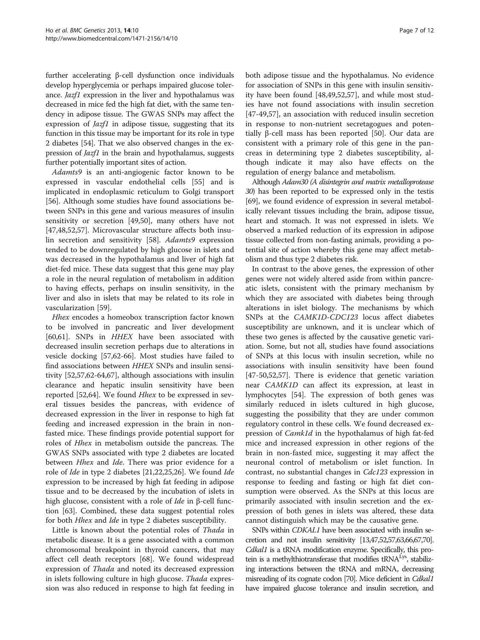further accelerating β-cell dysfunction once individuals develop hyperglycemia or perhaps impaired glucose tolerance. Jazf1 expression in the liver and hypothalamus was decreased in mice fed the high fat diet, with the same tendency in adipose tissue. The GWAS SNPs may affect the expression of *Jazf1* in adipose tissue, suggesting that its function in this tissue may be important for its role in type 2 diabetes [\[54](#page-10-0)]. That we also observed changes in the expression of Jazf1 in the brain and hypothalamus, suggests further potentially important sites of action.

Adamts9 is an anti-angiogenic factor known to be expressed in vascular endothelial cells [\[55\]](#page-10-0) and is implicated in endoplasmic reticulum to Golgi transport [[56\]](#page-10-0). Although some studies have found associations between SNPs in this gene and various measures of insulin sensitivity or secretion [[49,50\]](#page-10-0), many others have not [[47,48,52,57\]](#page-10-0). Microvascular structure affects both insulin secretion and sensitivity [[58](#page-10-0)]. Adamts9 expression tended to be downregulated by high glucose in islets and was decreased in the hypothalamus and liver of high fat diet-fed mice. These data suggest that this gene may play a role in the neural regulation of metabolism in addition to having effects, perhaps on insulin sensitivity, in the liver and also in islets that may be related to its role in vascularization [[59](#page-10-0)].

Hhex encodes a homeobox transcription factor known to be involved in pancreatic and liver development [[60,61\]](#page-10-0). SNPs in HHEX have been associated with decreased insulin secretion perhaps due to alterations in vesicle docking [\[57,62-](#page-10-0)[66](#page-11-0)]. Most studies have failed to find associations between HHEX SNPs and insulin sensitivity [\[52,57,62](#page-10-0)-[64,67\]](#page-11-0), although associations with insulin clearance and hepatic insulin sensitivity have been reported [[52,](#page-10-0)[64\]](#page-11-0). We found Hhex to be expressed in several tissues besides the pancreas, with evidence of decreased expression in the liver in response to high fat feeding and increased expression in the brain in nonfasted mice. These findings provide potential support for roles of Hhex in metabolism outside the pancreas. The GWAS SNPs associated with type 2 diabetes are located between *Hhex* and *Ide*. There was prior evidence for a role of Ide in type 2 diabetes [[21,22,](#page-9-0)[25,26\]](#page-10-0). We found Ide expression to be increased by high fat feeding in adipose tissue and to be decreased by the incubation of islets in high glucose, consistent with a role of *Ide* in β-cell function [[63](#page-11-0)]. Combined, these data suggest potential roles for both Hhex and Ide in type 2 diabetes susceptibility.

Little is known about the potential roles of *Thada* in metabolic disease. It is a gene associated with a common chromosomal breakpoint in thyroid cancers, that may affect cell death receptors [\[68](#page-11-0)]. We found widespread expression of Thada and noted its decreased expression in islets following culture in high glucose. Thada expression was also reduced in response to high fat feeding in

both adipose tissue and the hypothalamus. No evidence for association of SNPs in this gene with insulin sensitivity have been found [[48](#page-10-0),[49](#page-10-0),[52,57](#page-10-0)], and while most studies have not found associations with insulin secretion [[47-49,57\]](#page-10-0), an association with reduced insulin secretion in response to non-nutrient secretagogues and potentially β-cell mass has been reported [\[50\]](#page-10-0). Our data are consistent with a primary role of this gene in the pancreas in determining type 2 diabetes susceptibility, although indicate it may also have effects on the regulation of energy balance and metabolism.

Although Adam30 (A disintegrin and matrix metalloprotease 30) has been reported to be expressed only in the testis [[69](#page-11-0)], we found evidence of expression in several metabolically relevant tissues including the brain, adipose tissue, heart and stomach. It was not expressed in islets. We observed a marked reduction of its expression in adipose tissue collected from non-fasting animals, providing a potential site of action whereby this gene may affect metabolism and thus type 2 diabetes risk.

In contrast to the above genes, the expression of other genes were not widely altered aside from within pancreatic islets, consistent with the primary mechanism by which they are associated with diabetes being through alterations in islet biology. The mechanisms by which SNPs at the CAMK1D-CDC123 locus affect diabetes susceptibility are unknown, and it is unclear which of these two genes is affected by the causative genetic variation. Some, but not all, studies have found associations of SNPs at this locus with insulin secretion, while no associations with insulin sensitivity have been found [[47-50,52,57\]](#page-10-0). There is evidence that genetic variation near CAMK1D can affect its expression, at least in lymphocytes [[54](#page-10-0)]. The expression of both genes was similarly reduced in islets cultured in high glucose, suggesting the possibility that they are under common regulatory control in these cells. We found decreased expression of *Camk1d* in the hypothalamus of high fat-fed mice and increased expression in other regions of the brain in non-fasted mice, suggesting it may affect the neuronal control of metabolism or islet function. In contrast, no substantial changes in Cdc123 expression in response to feeding and fasting or high fat diet consumption were observed. As the SNPs at this locus are primarily associated with insulin secretion and the expression of both genes in islets was altered, these data cannot distinguish which may be the causative gene.

SNPs within CDKAL1 have been associated with insulin secretion and not insulin sensitivity [\[13](#page-9-0)[,47,52,57](#page-10-0)[,63,66,67,70\]](#page-11-0). Cdkal1 is a tRNA modification enzyme. Specifically, this protein is a methylthiotransferase that modifies tRNA<sup>Lys</sup>, stabilizing interactions between the tRNA and mRNA, decreasing misreading of its cognate codon [[70\]](#page-11-0). Mice deficient in *Cdkal1* have impaired glucose tolerance and insulin secretion, and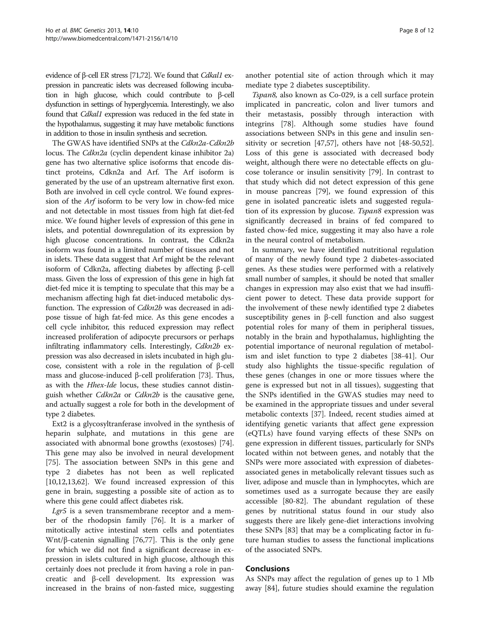evidence of β-cell ER stress [\[71,72\]](#page-11-0). We found that *Cdkal1* expression in pancreatic islets was decreased following incubation in high glucose, which could contribute to β-cell dysfunction in settings of hyperglycemia. Interestingly, we also found that Cdkal1 expression was reduced in the fed state in the hypothalamus, suggesting it may have metabolic functions in addition to those in insulin synthesis and secretion.

The GWAS have identified SNPs at the Cdkn2a-Cdkn2h locus. The Cdkn2a (cyclin dependent kinase inhibitor 2a) gene has two alternative splice isoforms that encode distinct proteins, Cdkn2a and Arf. The Arf isoform is generated by the use of an upstream alternative first exon. Both are involved in cell cycle control. We found expression of the Arf isoform to be very low in chow-fed mice and not detectable in most tissues from high fat diet-fed mice. We found higher levels of expression of this gene in islets, and potential downregulation of its expression by high glucose concentrations. In contrast, the Cdkn2a isoform was found in a limited number of tissues and not in islets. These data suggest that Arf might be the relevant isoform of Cdkn2a, affecting diabetes by affecting β-cell mass. Given the loss of expression of this gene in high fat diet-fed mice it is tempting to speculate that this may be a mechanism affecting high fat diet-induced metabolic dysfunction. The expression of Cdkn2b was decreased in adipose tissue of high fat-fed mice. As this gene encodes a cell cycle inhibitor, this reduced expression may reflect increased proliferation of adipocyte precursors or perhaps infiltrating inflammatory cells. Interestingly, Cdkn2b expression was also decreased in islets incubated in high glucose, consistent with a role in the regulation of β-cell mass and glucose-induced β-cell proliferation [\[73\]](#page-11-0). Thus, as with the Hhex-Ide locus, these studies cannot distinguish whether Cdkn2a or Cdkn2b is the causative gene, and actually suggest a role for both in the development of type 2 diabetes.

Ext2 is a glycosyltranferase involved in the synthesis of heparin sulphate, and mutations in this gene are associated with abnormal bone growths (exostoses) [\[74](#page-11-0)]. This gene may also be involved in neural development [[75\]](#page-11-0). The association between SNPs in this gene and type 2 diabetes has not been as well replicated [[10,12,13,](#page-9-0)[62\]](#page-10-0). We found increased expression of this gene in brain, suggesting a possible site of action as to where this gene could affect diabetes risk.

Lgr5 is a seven transmembrane receptor and a member of the rhodopsin family [[76](#page-11-0)]. It is a marker of mitotically active intestinal stem cells and potentiates Wnt/β-catenin signalling [[76,77\]](#page-11-0). This is the only gene for which we did not find a significant decrease in expression in islets cultured in high glucose, although this certainly does not preclude it from having a role in pancreatic and β-cell development. Its expression was increased in the brains of non-fasted mice, suggesting

another potential site of action through which it may mediate type 2 diabetes susceptibility.

Tspan8, also known as Co-029, is a cell surface protein implicated in pancreatic, colon and liver tumors and their metastasis, possibly through interaction with integrins [[78\]](#page-11-0). Although some studies have found associations between SNPs in this gene and insulin sensitivity or secretion [\[47,57\]](#page-10-0), others have not [\[48-50,52](#page-10-0)]. Loss of this gene is associated with decreased body weight, although there were no detectable effects on glucose tolerance or insulin sensitivity [[79](#page-11-0)]. In contrast to that study which did not detect expression of this gene in mouse pancreas [[79\]](#page-11-0), we found expression of this gene in isolated pancreatic islets and suggested regulation of its expression by glucose. Tspan8 expression was significantly decreased in brains of fed compared to fasted chow-fed mice, suggesting it may also have a role in the neural control of metabolism.

In summary, we have identified nutritional regulation of many of the newly found type 2 diabetes-associated genes. As these studies were performed with a relatively small number of samples, it should be noted that smaller changes in expression may also exist that we had insufficient power to detect. These data provide support for the involvement of these newly identified type 2 diabetes susceptibility genes in β-cell function and also suggest potential roles for many of them in peripheral tissues, notably in the brain and hypothalamus, highlighting the potential importance of neuronal regulation of metabolism and islet function to type 2 diabetes [[38-41\]](#page-10-0). Our study also highlights the tissue-specific regulation of these genes (changes in one or more tissues where the gene is expressed but not in all tissues), suggesting that the SNPs identified in the GWAS studies may need to be examined in the appropriate tissues and under several metabolic contexts [\[37](#page-10-0)]. Indeed, recent studies aimed at identifying genetic variants that affect gene expression (eQTLs) have found varying effects of these SNPs on gene expression in different tissues, particularly for SNPs located within not between genes, and notably that the SNPs were more associated with expression of diabetesassociated genes in metabolically relevant tissues such as liver, adipose and muscle than in lymphocytes, which are sometimes used as a surrogate because they are easily accessible [[80-82](#page-11-0)]. The abundant regulation of these genes by nutritional status found in our study also suggests there are likely gene-diet interactions involving these SNPs [[83\]](#page-11-0) that may be a complicating factor in future human studies to assess the functional implications of the associated SNPs.

#### Conclusions

As SNPs may affect the regulation of genes up to 1 Mb away [[84\]](#page-11-0), future studies should examine the regulation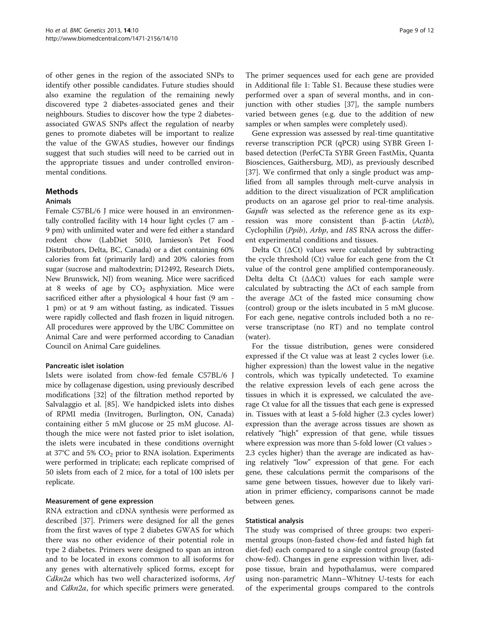of other genes in the region of the associated SNPs to identify other possible candidates. Future studies should also examine the regulation of the remaining newly discovered type 2 diabetes-associated genes and their neighbours. Studies to discover how the type 2 diabetesassociated GWAS SNPs affect the regulation of nearby genes to promote diabetes will be important to realize the value of the GWAS studies, however our findings suggest that such studies will need to be carried out in the appropriate tissues and under controlled environmental conditions.

#### Methods

#### Animals

Female C57BL/6 J mice were housed in an environmentally controlled facility with 14 hour light cycles (7 am - 9 pm) with unlimited water and were fed either a standard rodent chow (LabDiet 5010, Jamieson's Pet Food Distributors, Delta, BC, Canada) or a diet containing 60% calories from fat (primarily lard) and 20% calories from sugar (sucrose and maltodextrin; D12492, Research Diets, New Brunswick, NJ) from weaning. Mice were sacrificed at 8 weeks of age by  $CO<sub>2</sub>$  asphyxiation. Mice were sacrificed either after a physiological 4 hour fast (9 am - 1 pm) or at 9 am without fasting, as indicated. Tissues were rapidly collected and flash frozen in liquid nitrogen. All procedures were approved by the UBC Committee on Animal Care and were performed according to Canadian Council on Animal Care guidelines.

#### Pancreatic islet isolation

Islets were isolated from chow-fed female C57BL/6 J mice by collagenase digestion, using previously described modifications [[32](#page-10-0)] of the filtration method reported by Salvalaggio et al. [\[85\]](#page-11-0). We handpicked islets into dishes of RPMI media (Invitrogen, Burlington, ON, Canada) containing either 5 mM glucose or 25 mM glucose. Although the mice were not fasted prior to islet isolation, the islets were incubated in these conditions overnight at 37 $\degree$ C and 5% CO<sub>2</sub> prior to RNA isolation. Experiments were performed in triplicate; each replicate comprised of 50 islets from each of 2 mice, for a total of 100 islets per replicate.

#### Measurement of gene expression

RNA extraction and cDNA synthesis were performed as described [[37\]](#page-10-0). Primers were designed for all the genes from the first waves of type 2 diabetes GWAS for which there was no other evidence of their potential role in type 2 diabetes. Primers were designed to span an intron and to be located in exons common to all isoforms for any genes with alternatively spliced forms, except for *Cdkn2a* which has two well characterized isoforms,  $Arf$ and Cdkn2a, for which specific primers were generated.

The primer sequences used for each gene are provided in Additional file [1](#page-9-0): Table S1. Because these studies were performed over a span of several months, and in conjunction with other studies [\[37](#page-10-0)], the sample numbers varied between genes (e.g. due to the addition of new samples or when samples were completely used).

Gene expression was assessed by real-time quantitative reverse transcription PCR (qPCR) using SYBR Green Ibased detection (PerfeCTa SYBR Green FastMix, Quanta Biosciences, Gaithersburg, MD), as previously described [[37\]](#page-10-0). We confirmed that only a single product was amplified from all samples through melt-curve analysis in addition to the direct visualization of PCR amplification products on an agarose gel prior to real-time analysis. Gapdh was selected as the reference gene as its expression was more consistent than β-actin (Actb), Cyclophilin (Ppib), Arbp, and 18S RNA across the different experimental conditions and tissues.

Delta Ct ( $\Delta$ Ct) values were calculated by subtracting the cycle threshold (Ct) value for each gene from the Ct value of the control gene amplified contemporaneously. Delta delta Ct  $(\Delta \Delta Ct)$  values for each sample were calculated by subtracting the ΔCt of each sample from the average ΔCt of the fasted mice consuming chow (control) group or the islets incubated in 5 mM glucose. For each gene, negative controls included both a no reverse transcriptase (no RT) and no template control (water).

For the tissue distribution, genes were considered expressed if the Ct value was at least 2 cycles lower (i.e. higher expression) than the lowest value in the negative controls, which was typically undetected. To examine the relative expression levels of each gene across the tissues in which it is expressed, we calculated the average Ct value for all the tissues that each gene is expressed in. Tissues with at least a 5-fold higher (2.3 cycles lower) expression than the average across tissues are shown as relatively "high" expression of that gene, while tissues where expression was more than 5-fold lower (Ct values > 2.3 cycles higher) than the average are indicated as having relatively "low" expression of that gene. For each gene, these calculations permit the comparisons of the same gene between tissues, however due to likely variation in primer efficiency, comparisons cannot be made between genes.

#### Statistical analysis

The study was comprised of three groups: two experimental groups (non-fasted chow-fed and fasted high fat diet-fed) each compared to a single control group (fasted chow-fed). Changes in gene expression within liver, adipose tissue, brain and hypothalamus, were compared using non-parametric Mann–Whitney U-tests for each of the experimental groups compared to the controls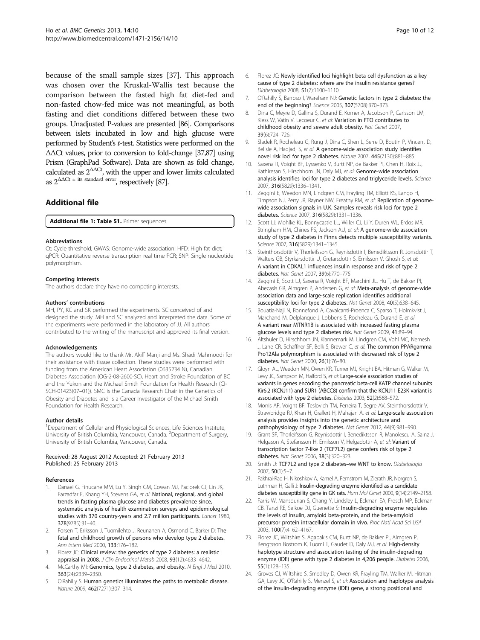<span id="page-9-0"></span>because of the small sample sizes [\[37\]](#page-10-0). This approach was chosen over the Kruskal-Wallis test because the comparison between the fasted high fat diet-fed and non-fasted chow-fed mice was not meaningful, as both fasting and diet conditions differed between these two groups. Unadjusted P-values are presented [\[86\]](#page-11-0). Comparisons between islets incubated in low and high glucose were performed by Student's t-test. Statistics were performed on the ΔΔCt values, prior to conversion to fold-change [\[37](#page-10-0)[,87](#page-11-0)] using Prism (GraphPad Software). Data are shown as fold change, calculated as  $2^{\Delta\Delta\text{C}t}$ , with the upper and lower limits calculated as  $2^{\Delta\Delta Ct \pm \text{ its standard error}}$ , respectively [\[87](#page-11-0)].

# Additional file

[Additional file 1: Table S1.](http://www.biomedcentral.com/content/supplementary/1471-2156-14-10-S1.docx) Primer sequences.

#### Abbreviations

Ct: Cycle threshold; GWAS: Genome-wide association; HFD: High fat diet; qPCR: Quantitative reverse transcription real time PCR; SNP: Single nucleotide polymorphism.

#### Competing interests

The authors declare they have no competing interests.

#### Authors' contributions

MH, PY, KC and SK performed the experiments. SC conceived of and designed the study. MH and SC analyzed and interpreted the data. Some of the experiments were performed in the laboratory of JJ. All authors contributed to the writing of the manuscript and approved its final version.

#### Acknowledgements

The authors would like to thank Mr. Akiff Manji and Ms. Shadi Mahmoodi for their assistance with tissue collection. These studies were performed with funding from the American Heart Association (0635234 N), Canadian Diabetes Association (OG-2-08-2600-SC), Heart and Stroke Foundation of BC and the Yukon and the Michael Smith Foundation for Health Research (CI-SCH-01423(07–01)). SMC is the Canada Research Chair in the Genetics of Obesity and Diabetes and is a Career Investigator of the Michael Smith Foundation for Health Research.

#### Author details

<sup>1</sup>Department of Cellular and Physiological Sciences, Life Sciences Institute, University of British Columbia, Vancouver, Canada. <sup>2</sup>Department of Surgery, University of British Columbia, Vancouver, Canada.

#### Received: 28 August 2012 Accepted: 21 February 2013 Published: 25 February 2013

#### References

- 1. Danaei G, Finucane MM, Lu Y, Singh GM, Cowan MJ, Paciorek CJ, Lin JK, Farzadfar F, Khang YH, Stevens GA, et al: National, regional, and global trends in fasting plasma glucose and diabetes prevalence since, systematic analysis of health examination surveys and epidemiological studies with 370 country-years and 2.7 million participants. Lancet 1980, 378(9785):31–40.
- 2. Forsen T, Eriksson J, Tuomilehto J, Reunanen A, Osmond C, Barker D: The fetal and childhood growth of persons who develop type 2 diabetes. Ann Intern Med 2000, 133:176–182.
- Florez JC: Clinical review: the genetics of type 2 diabetes: a realistic appraisal in 2008. J Clin Endocrinol Metab 2008, 93(12):4633–4642.
- McCarthy MI: Genomics, type 2 diabetes, and obesity. N Engl J Med 2010, 363(24):2339–2350.
- 5. O'Rahilly S: Human genetics illuminates the paths to metabolic disease. Nature 2009, 462(7271):307–314.
- 6. Florez JC: Newly identified loci highlight beta cell dysfunction as a key cause of type 2 diabetes: where are the insulin resistance genes? Diabetologia 2008, 51(7):1100–1110.
- O'Rahilly S, Barroso I, Wareham NJ: Genetic factors in type 2 diabetes: the end of the beginning? Science 2005, 307(5708):370–373.
- 8. Dina C, Meyre D, Gallina S, Durand E, Korner A, Jacobson P, Carlsson LM, Kiess W, Vatin V, Lecoeur C, et al: Variation in FTO contributes to childhood obesity and severe adult obesity. Nat Genet 2007, 39(6):724–726.
- 9. Sladek R, Rocheleau G, Rung J, Dina C, Shen L, Serre D, Boutin P, Vincent D, Belisle A, Hadjadj S, et al: A genome-wide association study identifies novel risk loci for type 2 diabetes. Nature 2007, 445(7130):881–885.
- 10. Saxena R, Voight BF, Lyssenko V, Burtt NP, de Bakker PI, Chen H, Roix JJ, Kathiresan S, Hirschhorn JN, Daly MJ, et al: Genome-wide association analysis identifies loci for type 2 diabetes and triglyceride levels. Science 2007, 316(5829):1336–1341.
- 11. Zeggini E, Weedon MN, Lindgren CM, Frayling TM, Elliott KS, Lango H, Timpson NJ, Perry JR, Rayner NW, Freathy RM, et al: Replication of genomewide association signals in U.K. Samples reveals risk loci for type 2 diabetes. Science 2007, 316(5829):1331–1336.
- 12. Scott LJ, Mohlke KL, Bonnycastle LL, Willer CJ, Li Y, Duren WL, Erdos MR, Stringham HM, Chines PS, Jackson AU, et al: A genome-wide association study of type 2 diabetes in Finns detects multiple susceptibility variants. Science 2007, 316(5829):1341–1345.
- 13. Steinthorsdottir V, Thorleifsson G, Reynisdottir I, Benediktsson R, Jonsdottir T, Walters GB, Styrkarsdottir U, Gretarsdottir S, Emilsson V, Ghosh S, et al: A variant in CDKAL1 influences insulin response and risk of type 2 diabetes. Nat Genet 2007, 39(6):770–775.
- 14. Zeggini E, Scott LJ, Saxena R, Voight BF, Marchini JL, Hu T, de Bakker PI, Abecasis GR, Almgren P, Andersen G, et al: Meta-analysis of genome-wide association data and large-scale replication identifies additional susceptibility loci for type 2 diabetes. Nat Genet 2008, 40(5):638-645.
- 15. Bouatia-Naji N, Bonnefond A, Cavalcanti-Proenca C, Sparso T, Holmkvist J, Marchand M, Delplanque J, Lobbens S, Rocheleau G, Durand E, et al: A variant near MTNR1B is associated with increased fasting plasma glucose levels and type 2 diabetes risk. Nat Genet 2009, 41:89–94.
- 16. Altshuler D, Hirschhorn JN, Klannemark M, Lindgren CM, Vohl MC, Nemesh J, Lane CR, Schaffner SF, Bolk S, Brewer C, et al: The common PPARgamma Pro12Ala polymorphism is associated with decreased risk of type 2 diabetes. Nat Genet 2000, 26(1):76–80.
- 17. Gloyn AL, Weedon MN, Owen KR, Turner MJ, Knight BA, Hitman G, Walker M, Levy JC, Sampson M, Halford S, et al: Large-scale association studies of variants in genes encoding the pancreatic beta-cell KATP channel subunits Kir6.2 (KCNJ11) and SUR1 (ABCC8) confirm that the KCNJ11 E23K variant is associated with type 2 diabetes. Diabetes 2003, 52(2):568–572.
- Morris AP, Voight BF, Teslovich TM, Ferreira T, Segre AV, Steinthorsdottir V, Strawbridge RJ, Khan H, Grallert H, Mahajan A, et al: Large-scale association analysis provides insights into the genetic architecture and pathophysiology of type 2 diabetes. Nat Genet 2012, 44(9):981-990.
- 19. Grant SF, Thorleifsson G, Reynisdottir I, Benediktsson R, Manolescu A, Sainz J, Helgason A, Stefansson H, Emilsson V, Helgadottir A, et al: Variant of transcription factor 7-like 2 (TCF7L2) gene confers risk of type 2 diabetes. Nat Genet 2006, 38(3):320–323.
- 20. Smith U: TCF7L2 and type 2 diabetes-we WNT to know. Diabetologia 2007, 50(1):5–7.
- 21. Fakhrai-Rad H, Nikoshkov A, Kamel A, Fernstrom M, Zierath JR, Norgren S, Luthman H, Galli J: Insulin-degrading enzyme identified as a candidate diabetes susceptibility gene in GK rats. Hum Mol Genet 2000, 9(14):2149–2158.
- 22. Farris W, Mansourian S, Chang Y, Lindsley L, Eckman EA, Frosch MP, Eckman CB, Tanzi RE, Selkoe DJ, Guenette S: Insulin-degrading enzyme regulates the levels of insulin, amyloid beta-protein, and the beta-amyloid precursor protein intracellular domain in vivo. Proc Natl Acad Sci USA 2003, 100(7):4162–4167.
- 23. Florez JC, Wiltshire S, Agapakis CM, Burtt NP, de Bakker PI, Almgren P, Bengtsson Bostrom K, Tuomi T, Gaudet D, Daly MJ, et al: High-density haplotype structure and association testing of the insulin-degrading enzyme (IDE) gene with type 2 diabetes in 4,206 people. Diabetes 2006, 55(1):128–135.
- 24. Groves CJ, Wiltshire S, Smedley D, Owen KR, Frayling TM, Walker M, Hitman GA, Levy JC, O'Rahilly S, Menzel S, et al: Association and haplotype analysis of the insulin-degrading enzyme (IDE) gene, a strong positional and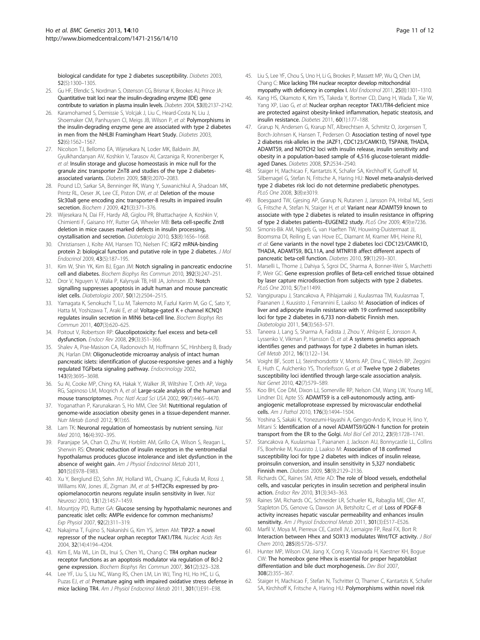<span id="page-10-0"></span>biological candidate for type 2 diabetes susceptibility. Diabetes 2003, 52(5):1300–1305.

- 25. Gu HF, Efendic S, Nordman S, Ostenson CG, Brismar K, Brookes AJ, Prince JA: Quantitative trait loci near the insulin-degrading enzyme (IDE) gene contribute to variation in plasma insulin levels. Diabetes 2004, 53(8):2137–2142.
- 26. Karamohamed S, Demissie S, Volcjak J, Liu C, Heard-Costa N, Liu J, Shoemaker CM, Panhuysen CI, Meigs JB, Wilson P, et al: Polymorphisms in the insulin-degrading enzyme gene are associated with type 2 diabetes in men from the NHLBI Framingham Heart Study. Diabetes 2003, 52(6):1562–1567.
- 27. Nicolson TJ, Bellomo EA, Wijesekara N, Loder MK, Baldwin JM, Gyulkhandanyan AV, Koshkin V, Tarasov AI, Carzaniga R, Kronenberger K, et al: Insulin storage and glucose homeostasis in mice null for the granule zinc transporter ZnT8 and studies of the type 2 diabetesassociated variants. Diabetes 2009, 58(9):2070–2083.
- 28. Pound LD, Sarkar SA, Benninger RK, Wang Y, Suwanichkul A, Shadoan MK, Printz RL, Oeser JK, Lee CE, Piston DW, et al: Deletion of the mouse Slc30a8 gene encoding zinc transporter-8 results in impaired insulin secretion. Biochem J 2009, 421(3):371-376.
- 29. Wijesekara N, Dai FF, Hardy AB, Giglou PR, Bhattacharjee A, Koshkin V, Chimienti F, Gaisano HY, Rutter GA, Wheeler MB: Beta cell-specific Znt8 deletion in mice causes marked defects in insulin processing, crystallisation and secretion. Diabetologia 2010, 53(8):1656–1668.
- 30. Christiansen J, Kolte AM, Hansen TO, Nielsen FC: IGF2 mRNA-binding protein 2: biological function and putative role in type 2 diabetes. J Mol Endocrinol 2009, 43(5):187–195.
- 31. Kim W, Shin YK, Kim BJ, Egan JM: Notch signaling in pancreatic endocrine cell and diabetes. Biochem Biophys Res Commun 2010, 392(3):247–251.
- 32. Dror V, Nguyen V, Walia P, Kalynyak TB, Hill JA, Johnson JD: Notch signalling suppresses apoptosis in adult human and mouse pancreatic islet cells. Diabetologia 2007, 50(12):2504–2515.
- 33. Yamagata K, Senokuchi T, Lu M, Takemoto M, Fazlul Karim M, Go C, Sato Y, Hatta M, Yoshizawa T, Araki E, et al: Voltage-gated K + channel KCNQ1 regulates insulin secretion in MIN6 beta-cell line. Biochem Biophys Res Commun 2011, 407(3):620–625.
- 34. Poitout V, Robertson RP: Glucolipotoxicity: fuel excess and beta-cell dysfunction. Endocr Rev 2008, 29(3):351–366.
- 35. Shalev A, Pise-Masison CA, Radonovich M, Hoffmann SC, Hirshberg B, Brady JN, Harlan DM: Oligonucleotide microarray analysis of intact human pancreatic islets: identification of glucose-responsive genes and a highly regulated TGFbeta signaling pathway. Endocrinology 2002, 143(9):3695–3698.
- 36. Su AI, Cooke MP, Ching KA, Hakak Y, Walker JR, Wiltshire T, Orth AP, Vega RG, Sapinoso LM, Moqrich A, et al: Large-scale analysis of the human and mouse transcriptomes. Proc Natl Acad Sci USA 2002, 99(7):4465–4470.
- 37. Yoganathan P, Karunakaran S, Ho MM, Clee SM: Nutritional regulation of genome-wide association obesity genes in a tissue-dependent manner. Nutr Metab (Lond) 2012, 9(1):65.
- 38. Lam TK: Neuronal regulation of homeostasis by nutrient sensing. Nat Med 2010, 16(4):392–395.
- 39. Paranjape SA, Chan O, Zhu W, Horblitt AM, Grillo CA, Wilson S, Reagan L, Sherwin RS: Chronic reduction of insulin receptors in the ventromedial hypothalamus produces glucose intolerance and islet dysfunction in the absence of weight gain. Am J Physiol Endocrinol Metab 2011, 301(5):E978–E983.
- 40. Xu Y, Berglund ED, Sohn JW, Holland WL, Chuang JC, Fukuda M, Rossi J, Williams KW, Jones JE, Zigman JM, et al: 5-HT2CRs expressed by proopiomelanocortin neurons regulate insulin sensitivity in liver. Nat Neurosci 2010, 13(12):1457–1459.
- 41. Mountjoy PD, Rutter GA: Glucose sensing by hypothalamic neurones and pancreatic islet cells: AMPle evidence for common mechanisms? Exp Physiol 2007, 92(2):311–319.
- 42. Nakajima T, Fujino S, Nakanishi G, Kim YS, Jetten AM: TIP27: a novel repressor of the nuclear orphan receptor TAK1/TR4. Nucleic Acids Res 2004, 32(14):4194–4204.
- 43. Kim E, Ma WL, Lin DL, Inui S, Chen YL, Chang C: TR4 orphan nuclear receptor functions as an apoptosis modulator via regulation of Bcl-2 gene expression. Biochem Biophys Res Commun 2007, 361(2):323-328.
- 44. Lee YF, Liu S, Liu NC, Wang RS, Chen LM, Lin WJ, Ting HJ, Ho HC, Li G, Puzas EJ, et al: Premature aging with impaired oxidative stress defense in mice lacking TR4. Am J Physiol Endocrinol Metab 2011, 301(1):E91–E98.
- 45. Liu S, Lee YF, Chou S, Uno H, Li G, Brookes P, Massett MP, Wu Q, Chen LM, Chang C: Mice lacking TR4 nuclear receptor develop mitochondrial myopathy with deficiency in complex I. Mol Endocrinol 2011, 25(8):1301–1310.
- 46. Kang HS, Okamoto K, Kim YS, Takeda Y, Bortner CD, Dang H, Wada T, Xie W, Yang XP, Liao G, et al: Nuclear orphan receptor TAK1/TR4-deficient mice are protected against obesity-linked inflammation, hepatic steatosis, and insulin resistance. Diabetes 2011, 60(1):177–188.
- 47. Grarup N, Andersen G, Krarup NT, Albrechtsen A, Schmitz O, Jorgensen T, Borch-Johnsen K, Hansen T, Pedersen O: Association testing of novel type 2 diabetes risk-alleles in the JAZF1, CDC123/CAMK1D, TSPAN8, THADA, ADAMTS9, and NOTCH2 loci with insulin release, insulin sensitivity and obesity in a population-based sample of 4,516 glucose-tolerant middleaged Danes. Diabetes 2008, 57:2534–2540.
- 48. Staiger H, Machicao F, Kantartzis K, Schafer SA, Kirchhoff K, Guthoff M, Silbernagel G, Stefan N, Fritsche A, Haring HU: Novel meta-analysis-derived type 2 diabetes risk loci do not determine prediabetic phenotypes. PLoS One 2008, 3(8):e3019.
- 49. Boesgaard TW, Gjesing AP, Grarup N, Rutanen J, Jansson PA, Hribal ML, Sesti G, Fritsche A, Stefan N, Staiger H, et al: Variant near ADAMTS9 known to associate with type 2 diabetes is related to insulin resistance in offspring of type 2 diabetes patients–EUGENE2 study. PLoS One 2009, 4(9):e7236.
- 50. Simonis-Bik AM, Nijpels G, van Haeften TW, Houwing-Duistermaat JJ, Boomsma DI, Reiling E, van Hove EC, Diamant M, Kramer MH, Heine RJ, et al: Gene variants in the novel type 2 diabetes loci CDC123/CAMK1D, THADA, ADAMTS9, BCL11A, and MTNR1B affect different aspects of pancreatic beta-cell function. Diabetes 2010, 59(1):293–301.
- 51. Marselli L, Thorne J, Dahiya S, Sgroi DC, Sharma A, Bonner-Weir S, Marchetti P, Weir GC: Gene expression profiles of Beta-cell enriched tissue obtained by laser capture microdissection from subjects with type 2 diabetes. PLoS One 2010, 5(7):e11499.
- 52. Vangipurapu J, Stancakova A, Pihlajamaki J, Kuulasmaa TM, Kuulasmaa T, Paananen J, Kuusisto J, Ferrannini E, Laakso M: Association of indices of liver and adipocyte insulin resistance with 19 confirmed susceptibility loci for type 2 diabetes in 6,733 non-diabetic Finnish men. Diabetologia 2011, 54(3):563–571.
- 53. Taneera J, Lang S, Sharma A, Fadista J, Zhou Y, Ahlqvist E, Jonsson A, Lyssenko V, Vikman P, Hansson O, et al: A systems genetics approach identifies genes and pathways for type 2 diabetes in human islets. Cell Metab 2012, 16(1):122–134.
- 54. Voight BF, Scott LJ, Steinthorsdottir V, Morris AP, Dina C, Welch RP, Zeggini E, Huth C, Aulchenko YS, Thorleifsson G, et al: Twelve type 2 diabetes susceptibility loci identified through large-scale association analysis. Nat Genet 2010, 42(7):579–589.
- 55. Koo BH, Coe DM, Dixon LJ, Somerville RP, Nelson CM, Wang LW, Young ME, Lindner DJ, Apte SS: **ADAMTS9** is a cell-autonomously acting, antiangiogenic metalloprotease expressed by microvascular endothelial cells. Am J Pathol 2010, 176(3):1494–1504.
- 56. Yoshina S, Sakaki K, Yonezumi-Hayashi A, Gengyo-Ando K, Inoue H, Iino Y, Mitani S: Identification of a novel ADAMTS9/GON-1 function for protein transport from the ER to the Golgi. Mol Biol Cell 2012, 23(9):1728–1741.
- 57. Stancakova A, Kuulasmaa T, Paananen J, Jackson AU, Bonnycastle LL, Collins FS, Boehnke M, Kuusisto J, Laakso M: Association of 18 confirmed susceptibility loci for type 2 diabetes with indices of insulin release, proinsulin conversion, and insulin sensitivity in 5,327 nondiabetic Finnish men. Diabetes 2009, 58(9):2129–2136.
- 58. Richards OC, Raines SM, Attie AD: The role of blood vessels, endothelial cells, and vascular pericytes in insulin secretion and peripheral insulin action. Endocr Rev 2010, 31(3):343–363.
- 59. Raines SM, Richards OC, Schneider LR, Schueler KL, Rabaglia ME, Oler AT, Stapleton DS, Genove G, Dawson JA, Betsholtz C, et al: Loss of PDGF-B activity increases hepatic vascular permeability and enhances insulin sensitivity. Am J Physiol Endocrinol Metab 2011, 301(3):E517-E526.
- 60. Marfil V, Moya M, Pierreux CE, Castell JV, Lemaigre FP, Real FX, Bort R: Interaction between Hhex and SOX13 modulates Wnt/TCF activity. J Biol Chem 2010, 285(8):5726–5737.
- 61. Hunter MP, Wilson CM, Jiang X, Cong R, Vasavada H, Kaestner KH, Bogue CW: The homeobox gene Hhex is essential for proper hepatoblast differentiation and bile duct morphogenesis. Dev Biol 2007, 308(2):355–367.
- 62. Staiger H, Machicao F, Stefan N, Tschritter O, Thamer C, Kantartzis K, Schafer SA, Kirchhoff K, Fritsche A, Haring HU: Polymorphisms within novel risk